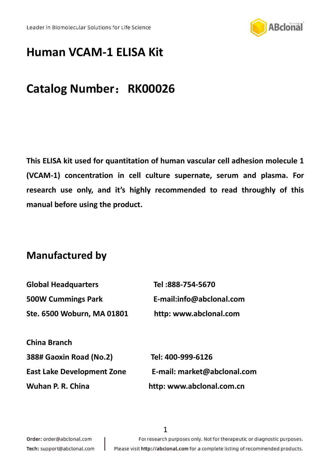

# **Human VCAM-1 ELISA Kit**

# **Catalog Number**:**RK00026**

**This ELISA kit used for quantitation of human vascular cell adhesion molecule 1 (VCAM-1) concentration in cell culture supernate, serum and plasma. For research use only, and it's highly recommended to read throughly of this manual before using the product.**

## **Manufactured by**

<span id="page-0-0"></span>

| <b>Global Headquarters</b>        | Tel:888-754-5670            |
|-----------------------------------|-----------------------------|
| <b>500W Cummings Park</b>         | E-mail:info@abclonal.com    |
| Ste. 6500 Woburn, MA 01801        | http: www.abclonal.com      |
|                                   |                             |
| China Branch                      |                             |
| 388# Gaoxin Road (No.2)           | Tel: 400-999-6126           |
| <b>East Lake Development Zone</b> | E-mail: market@abclonal.com |
| Wuhan P. R. China                 | http: www.abclonal.com.cn   |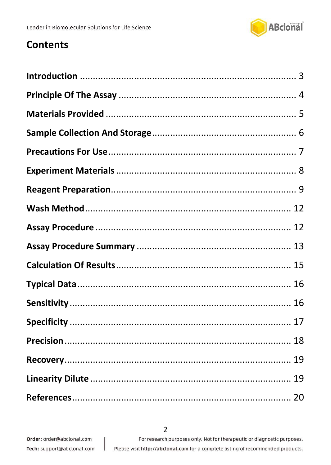

## **Contents**

J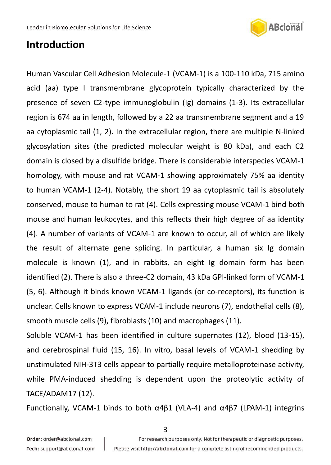

## **Introduction**

Human Vascular Cell Adhesion Molecule-1 (VCAM-1) is a 100-110 kDa, 715 amino acid (aa) type I transmembrane glycoprotein typically characterized by the presence of seven C2-type immunoglobulin (Ig) domains (1-3). Its extracellular region is 674 aa in length, followed by a 22 aa transmembrane segment and a 19 aa cytoplasmic tail (1, 2). In the extracellular region, there are multiple N-linked glycosylation sites (the predicted molecular weight is 80 kDa), and each C2 domain is closed by a disulfide bridge. There is considerable interspecies VCAM-1 homology, with mouse and rat VCAM-1 showing approximately 75% aa identity to human VCAM-1 (2-4). Notably, the short 19 aa cytoplasmic tail is absolutely conserved, mouse to human to rat (4). Cells expressing mouse VCAM-1 bind both mouse and human leukocytes, and this reflects their high degree of aa identity (4). A number of variants of VCAM-1 are known to occur, all of which are likely the result of alternate gene splicing. In particular, a human six Ig domain molecule is known (1), and in rabbits, an eight Ig domain form has been identified (2). There is also a three-C2 domain, 43 kDa GPI-linked form of VCAM-1 (5, 6). Although it binds known VCAM-1 ligands (or co-receptors), its function is unclear. Cells known to express VCAM-1 include neurons (7), endothelial cells (8), smooth muscle cells (9), fibroblasts (10) and macrophages (11).

Soluble VCAM-1 has been identified in culture supernates (12), blood (13-15), and cerebrospinal fluid (15, 16). In vitro, basal levels of VCAM-1 shedding by unstimulated NIH-3T3 cells appear to partially require metalloproteinase activity, while PMA-induced shedding is dependent upon the proteolytic activity of TACE/ADAM17 (12).

Functionally, VCAM-1 binds to both α4β1 (VLA-4) and α4β7 (LPAM-1) integrins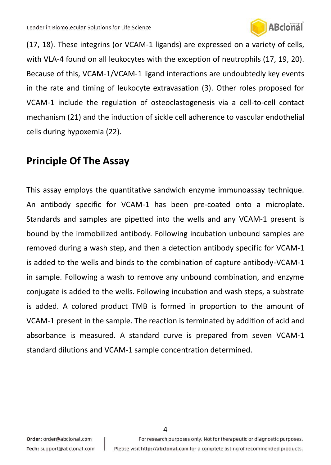

(17, 18). These integrins (or VCAM-1 ligands) are expressed on a variety of cells, with VLA-4 found on all leukocytes with the exception of neutrophils (17, 19, 20). Because of this, VCAM-1/VCAM-1 ligand interactions are undoubtedly key events in the rate and timing of leukocyte extravasation (3). Other roles proposed for VCAM-1 include the regulation of osteoclastogenesis via a cell-to-cell contact mechanism (21) and the induction of sickle cell adherence to vascular endothelial cells during hypoxemia (22).

## **Principle Of The Assay**

This assay employs the quantitative sandwich enzyme immunoassay technique. An antibody specific for VCAM-1 has been pre-coated onto a microplate. Standards and samples are pipetted into the wells and any VCAM-1 present is bound by the immobilized antibody. Following incubation unbound samples are removed during a wash step, and then a detection antibody specific for VCAM-1 is added to the wells and binds to the combination of capture antibody-VCAM-1 in sample. Following a wash to remove any unbound combination, and enzyme conjugate is added to the wells. Following incubation and wash steps, a substrate is added. A colored product TMB is formed in proportion to the amount of VCAM-1 present in the sample. The reaction is terminated by addition of acid and absorbance is measured. A standard curve is prepared from seven VCAM-1 standard dilutions and VCAM-1 sample concentration determined.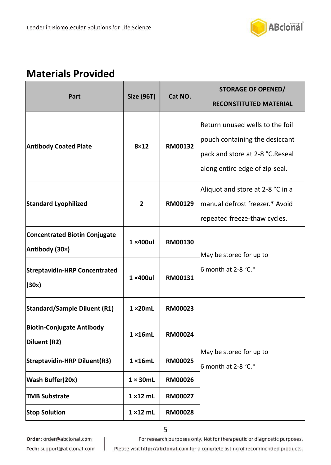

## <span id="page-4-0"></span>**Materials Provided**

| Part                                                   | <b>Size (96T)</b> | Cat NO. | <b>STORAGE OF OPENED/</b><br><b>RECONSTITUTED MATERIAL</b>                                                                             |
|--------------------------------------------------------|-------------------|---------|----------------------------------------------------------------------------------------------------------------------------------------|
| <b>Antibody Coated Plate</b>                           | $8\times12$       | RM00132 | Return unused wells to the foil<br>pouch containing the desiccant<br>pack and store at 2-8 °C.Reseal<br>along entire edge of zip-seal. |
| <b>Standard Lyophilized</b>                            | $\overline{2}$    | RM00129 | Aliquot and store at 2-8 °C in a<br>manual defrost freezer.* Avoid<br>repeated freeze-thaw cycles.                                     |
| <b>Concentrated Biotin Conjugate</b><br>Antibody (30×) | $1 \times 400$ ul | RM00130 | May be stored for up to                                                                                                                |
| <b>Streptavidin-HRP Concentrated</b><br>(30x)          | $1 \times 400$ ul | RM00131 | 6 month at 2-8 $°C.*$                                                                                                                  |
| <b>Standard/Sample Diluent (R1)</b>                    | $1 \times 20$ mL  | RM00023 |                                                                                                                                        |
| <b>Biotin-Conjugate Antibody</b><br>Diluent (R2)       | $1 \times 16$ mL  | RM00024 |                                                                                                                                        |
| Streptavidin-HRP Diluent(R3)                           | $1 \times 16$ mL  | RM00025 | May be stored for up to<br>6 month at $2-8$ °C.*                                                                                       |
| Wash Buffer(20x)                                       | $1 \times 30$ mL  | RM00026 |                                                                                                                                        |
| <b>TMB Substrate</b>                                   | $1 \times 12$ mL  | RM00027 |                                                                                                                                        |
| <b>Stop Solution</b>                                   | $1 \times 12$ mL  | RM00028 |                                                                                                                                        |

Order: order@abclonal.com

For research purposes only. Not for therapeutic or diagnostic purposes.

Tech: support@abclonal.com

J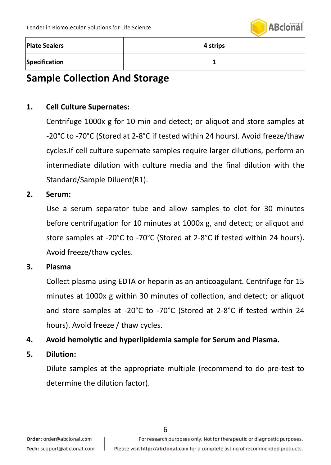

| <b>Plate Sealers</b> | 4 strips |
|----------------------|----------|
| <b>Specification</b> |          |

## <span id="page-5-0"></span>**Sample Collection And Storage**

### **1. Cell Culture Supernates:**

Centrifuge 1000x g for 10 min and detect; or aliquot and store samples at -20°C to -70°C (Stored at 2-8°C if tested within 24 hours). Avoid freeze/thaw cycles.If cell culture supernate samples require larger dilutions, perform an intermediate dilution with culture media and the final dilution with the Standard/Sample Diluent(R1).

#### **2. Serum:**

Use a serum separator tube and allow samples to clot for 30 minutes before centrifugation for 10 minutes at 1000x g, and detect; or aliquot and store samples at -20°C to -70°C (Stored at 2-8°C if tested within 24 hours). Avoid freeze/thaw cycles.

### **3. Plasma**

Collect plasma using EDTA or heparin as an anticoagulant. Centrifuge for 15 minutes at 1000x g within 30 minutes of collection, and detect; or aliquot and store samples at -20°C to -70°C (Stored at 2-8°C if tested within 24 hours). Avoid freeze / thaw cycles.

### **4. Avoid hemolytic and hyperlipidemia sample for Serum and Plasma.**

### **5. Dilution:**

Dilute samples at the appropriate multiple (recommend to do pre-test to determine the dilution factor).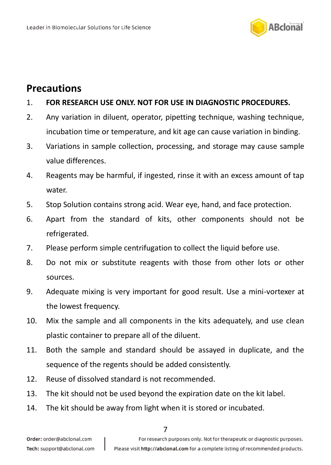

## <span id="page-6-0"></span>**Precautions**

### 1. **FOR RESEARCH USE ONLY. NOT FOR USE IN DIAGNOSTIC PROCEDURES.**

- 2. Any variation in diluent, operator, pipetting technique, washing technique, incubation time or temperature, and kit age can cause variation in binding.
- 3. Variations in sample collection, processing, and storage may cause sample value differences.
- 4. Reagents may be harmful, if ingested, rinse it with an excess amount of tap water.
- 5. Stop Solution contains strong acid. Wear eye, hand, and face protection.
- 6. Apart from the standard of kits, other components should not be refrigerated.
- 7. Please perform simple centrifugation to collect the liquid before use.
- 8. Do not mix or substitute reagents with those from other lots or other sources.
- 9. Adequate mixing is very important for good result. Use a mini-vortexer at the lowest frequency.
- 10. Mix the sample and all components in the kits adequately, and use clean plastic container to prepare all of the diluent.
- 11. Both the sample and standard should be assayed in duplicate, and the sequence of the regents should be added consistently.
- 12. Reuse of dissolved standard is not recommended.
- 13. The kit should not be used beyond the expiration date on the kit label.
- 14. The kit should be away from light when it is stored or incubated.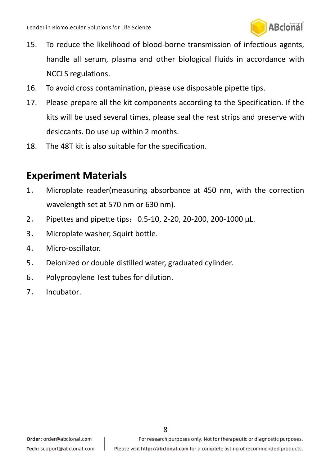

- 15. To reduce the likelihood of blood-borne transmission of infectious agents, handle all serum, plasma and other biological fluids in accordance with NCCLS regulations.
- 16. To avoid cross contamination, please use disposable pipette tips.
- 17. Please prepare all the kit components according to the Specification. If the kits will be used several times, please seal the rest strips and preserve with desiccants. Do use up within 2 months.
- <span id="page-7-0"></span>18. The 48T kit is also suitable for the specification.

## **Experiment Materials**

- 1. Microplate reader(measuring absorbance at 450 nm, with the correction wavelength set at 570 nm or 630 nm).
- 2. Pipettes and pipette tips:0.5-10, 2-20, 20-200, 200-1000 μL.
- 3. Microplate washer, Squirt bottle.
- 4. Micro-oscillator.
- 5. Deionized or double distilled water, graduated cylinder.
- 6. Polypropylene Test tubes for dilution.
- <span id="page-7-1"></span>7. Incubator.

For research purposes only. Not for therapeutic or diagnostic purposes.

8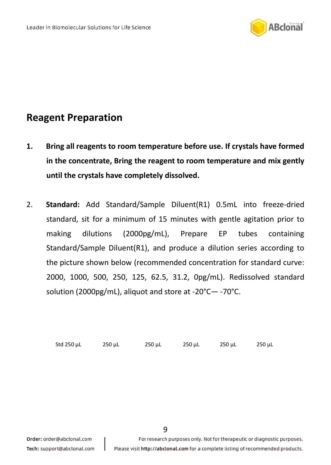

## **Reagent Preparation**

- **1. Bring all reagents to room temperature before use. If crystals have formed in the concentrate, Bring the reagent to room temperature and mix gently until the crystals have completely dissolved.**
- 2. **Standard:** Add Standard/Sample Diluent(R1) 0.5mL into freeze-dried standard, sit for a minimum of 15 minutes with gentle agitation prior to making dilutions (2000pg/mL), Prepare EP tubes containing Standard/Sample Diluent(R1), and produce a dilution series according to the picture shown below (recommended concentration for standard curve: 2000, 1000, 500, 250, 125, 62.5, 31.2, 0pg/mL). Redissolved standard solution (2000pg/mL), aliquot and store at -20°C— -70°C.

Std 250 μL 250 μL 250 μL 250 μL 250 μL 250 μL

9

Order: order@abclonal.com Tech: support@abclonal.com For research purposes only. Not for therapeutic or diagnostic purposes.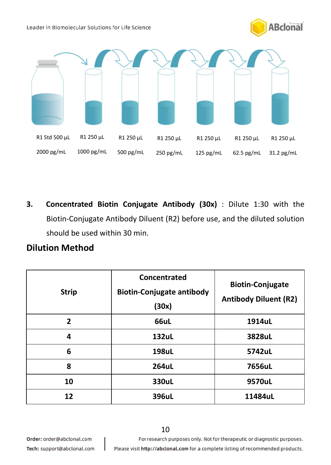Leader in Biomolecular Solutions for Life Science





**3. Concentrated Biotin Conjugate Antibody (30x)** : Dilute 1:30 with the Biotin-Conjugate Antibody Diluent (R2) before use, and the diluted solution should be used within 30 min.

### **Dilution Method**

| <b>Strip</b> | Concentrated<br><b>Biotin-Conjugate antibody</b><br>(30x) | <b>Biotin-Conjugate</b><br><b>Antibody Diluent (R2)</b> |
|--------------|-----------------------------------------------------------|---------------------------------------------------------|
| $\mathbf{z}$ | 66uL                                                      | 1914uL                                                  |
| 4            | 132uL                                                     | 3828uL                                                  |
| 6            | 198uL                                                     | 5742uL                                                  |
| 8            | 264uL                                                     | 7656uL                                                  |
| 10           | 330uL                                                     | 9570uL                                                  |
| 12           | 396uL                                                     | 11484uL                                                 |

10

Order: order@abclonal.com

For research purposes only. Not for therapeutic or diagnostic purposes.

Tech: support@abclonal.com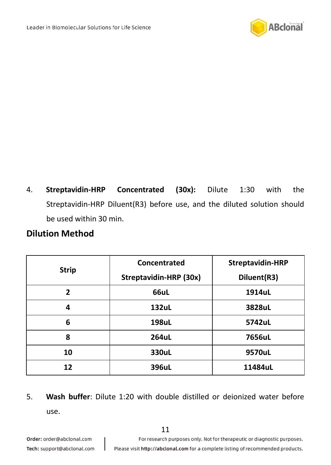

4. **Streptavidin-HRP Concentrated (30x):** Dilute 1:30 with the Streptavidin-HRP Diluent(R3) before use, and the diluted solution should be used within 30 min.

### **Dilution Method**

| <b>Strip</b> | Concentrated<br>Streptavidin-HRP (30x) | <b>Streptavidin-HRP</b><br>Diluent(R3) |
|--------------|----------------------------------------|----------------------------------------|
| 2            | 66uL                                   | 1914uL                                 |
| 4            | 132uL                                  | 3828uL                                 |
| 6            | 198uL                                  | 5742uL                                 |
| 8            | 264uL                                  | 7656uL                                 |
| 10           | 330uL                                  | 9570uL                                 |
| 12           | 396uL                                  | 11484uL                                |

5. **Wash buffer**: Dilute 1:20 with double distilled or deionized water before use.

J

For research purposes only. Not for therapeutic or diagnostic purposes.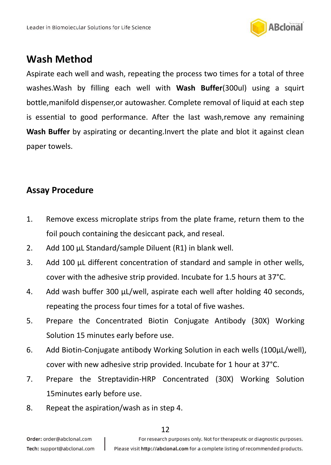

## <span id="page-11-1"></span><span id="page-11-0"></span>**Wash Method**

Aspirate each well and wash, repeating the process two times for a total of three washes.Wash by filling each well with **Wash Buffer**(300ul) using a squirt bottle,manifold dispenser,or autowasher. Complete removal of liquid at each step is essential to good performance. After the last wash,remove any remaining **Wash Buffer** by aspirating or decanting.Invert the plate and blot it against clean paper towels.

### **Assay Procedure**

- 1. Remove excess microplate strips from the plate frame, return them to the foil pouch containing the desiccant pack, and reseal.
- 2. Add 100 μL Standard/sample Diluent (R1) in blank well.
- 3. Add 100 μL different concentration of standard and sample in other wells, cover with the adhesive strip provided. Incubate for 1.5 hours at 37°C.
- 4. Add wash buffer 300 μL/well, aspirate each well after holding 40 seconds, repeating the process four times for a total of five washes.
- 5. Prepare the Concentrated Biotin Conjugate Antibody (30X) Working Solution 15 minutes early before use.
- 6. Add Biotin-Conjugate antibody Working Solution in each wells (100μL/well), cover with new adhesive strip provided. Incubate for 1 hour at 37°C.
- 7. Prepare the Streptavidin-HRP Concentrated (30X) Working Solution 15minutes early before use.
- 8. Repeat the aspiration/wash as in step 4.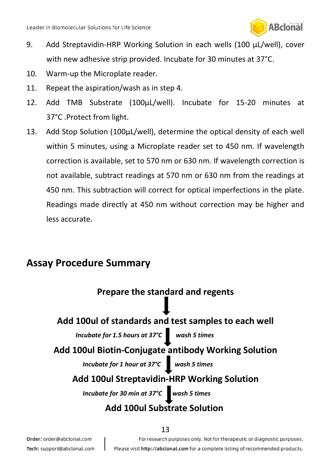

- 9. Add Streptavidin-HRP Working Solution in each wells (100 μL/well), cover with new adhesive strip provided. Incubate for 30 minutes at 37°C.
- 10. Warm-up the Microplate reader.
- 11. Repeat the aspiration/wash as in step 4.
- 12. Add TMB Substrate (100μL/well). Incubate for 15-20 minutes at 37°C .Protect from light.
- 13. Add Stop Solution (100μL/well), determine the optical density of each well within 5 minutes, using a Microplate reader set to 450 nm. If wavelength correction is available, set to 570 nm or 630 nm. If wavelength correction is not available, subtract readings at 570 nm or 630 nm from the readings at 450 nm. This subtraction will correct for optical imperfections in the plate. Readings made directly at 450 nm without correction may be higher and less accurate.

## <span id="page-12-0"></span>**Assay Procedure Summary**



13

Order: order@abclonal.com Tech: support@abclonal.com For research purposes only. Not for therapeutic or diagnostic purposes.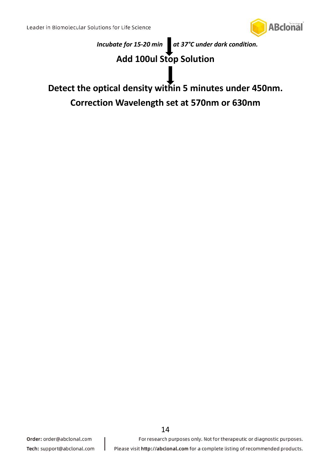



### **Add 100ul Stop Solution**

<span id="page-13-0"></span>**Detect the optical density within 5 minutes under 450nm. Correction Wavelength set at 570nm or 630nm**

For research purposes only. Not for therapeutic or diagnostic purposes.

Please visit http://abclonal.com for a complete listing of recommended products.

14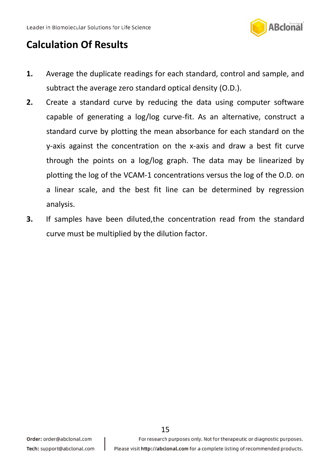

## **Calculation Of Results**

- **1.** Average the duplicate readings for each standard, control and sample, and subtract the average zero standard optical density (O.D.).
- **2.** Create a standard curve by reducing the data using computer software capable of generating a log/log curve-fit. As an alternative, construct a standard curve by plotting the mean absorbance for each standard on the y-axis against the concentration on the x-axis and draw a best fit curve through the points on a log/log graph. The data may be linearized by plotting the log of the VCAM-1 concentrations versus the log of the O.D. on a linear scale, and the best fit line can be determined by regression analysis.
- <span id="page-14-0"></span>**3.** If samples have been diluted,the concentration read from the standard curve must be multiplied by the dilution factor.

15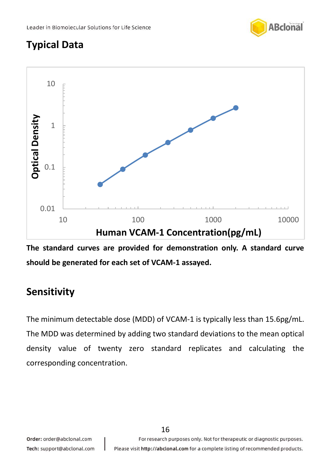

# **Typical Data**



**The standard curves are provided for demonstration only. A standard curve should be generated for each set of VCAM-1 assayed.**

# <span id="page-15-0"></span>**Sensitivity**

<span id="page-15-1"></span>The minimum detectable dose (MDD) of VCAM-1 is typically less than 15.6pg/mL. The MDD was determined by adding two standard deviations to the mean optical density value of twenty zero standard replicates and calculating the corresponding concentration.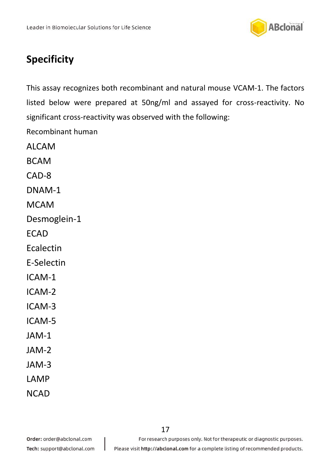

# **Specificity**

This assay recognizes both recombinant and natural mouse VCAM-1. The factors listed below were prepared at 50ng/ml and assayed for cross-reactivity. No significant cross-reactivity was observed with the following:

<span id="page-16-0"></span>Recombinant human

ALCAM BCAM CAD-8 DNAM-1

**MCAM** 

Desmoglein-1

**FCAD** 

Ecalectin

E-Selectin

ICAM-1

ICAM-2

ICAM-3

- ICAM-5
- JAM-1
- JAM-2
- JAM-3
- LAMP
- **NCAD**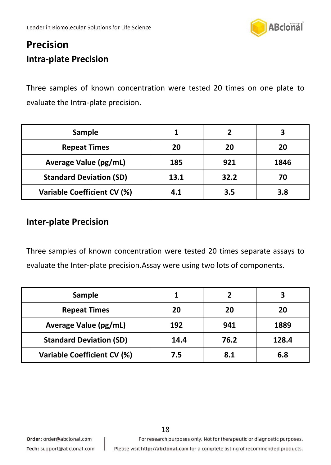

# **Precision Intra-plate Precision**

Three samples of known concentration were tested 20 times on one plate to evaluate the Intra-plate precision.

| Sample                             |      |      |      |
|------------------------------------|------|------|------|
| <b>Repeat Times</b>                | 20   | 20   | 20   |
| Average Value (pg/mL)              | 185  | 921  | 1846 |
| <b>Standard Deviation (SD)</b>     | 13.1 | 32.2 | 70   |
| <b>Variable Coefficient CV (%)</b> | 4.1  | 3.5  | 3.8  |

### **Inter-plate Precision**

Three samples of known concentration were tested 20 times separate assays to evaluate the Inter-plate precision.Assay were using two lots of components.

<span id="page-17-0"></span>

| Sample                         |      |      |       |
|--------------------------------|------|------|-------|
| <b>Repeat Times</b>            | 20   | 20   | 20    |
| Average Value (pg/mL)          | 192  | 941  | 1889  |
| <b>Standard Deviation (SD)</b> | 14.4 | 76.2 | 128.4 |
| Variable Coefficient CV (%)    | 7.5  | 8.1  | 6.8   |

For research purposes only. Not for therapeutic or diagnostic purposes.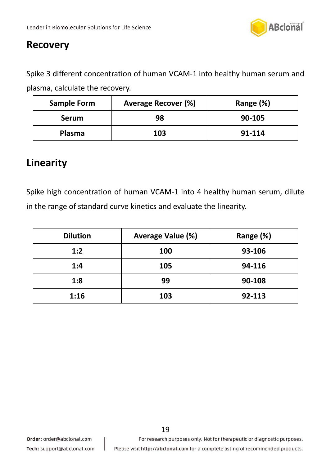

## **Recovery**

Spike 3 different concentration of human VCAM-1 into healthy human serum and plasma, calculate the recovery.

| <b>Sample Form</b> | Average Recover (%) | Range (%) |
|--------------------|---------------------|-----------|
| <b>Serum</b>       | 98                  | 90-105    |
| Plasma             | 103                 | 91-114    |

## <span id="page-18-0"></span>**Linearity**

Spike high concentration of human VCAM-1 into 4 healthy human serum, dilute in the range of standard curve kinetics and evaluate the linearity.

<span id="page-18-1"></span>

| <b>Dilution</b> | Average Value (%) | Range (%) |
|-----------------|-------------------|-----------|
| 1:2             | 100               | 93-106    |
| 1:4             | 105               | 94-116    |
| 1:8             | 99                | 90-108    |
| 1:16            | 103               | 92-113    |

19

For research purposes only. Not for therapeutic or diagnostic purposes.